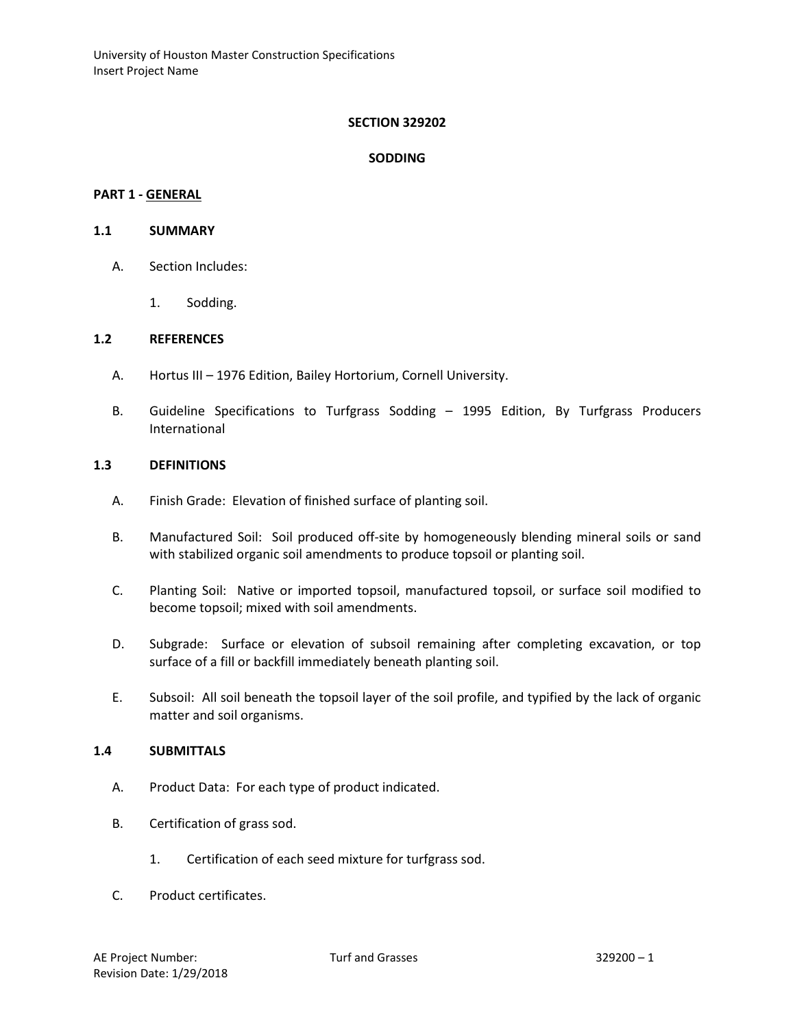## **SECTION 329202**

## **SODDING**

### **PART 1 - GENERAL**

#### **1.1 SUMMARY**

- A. Section Includes:
	- 1. Sodding.

### **1.2 REFERENCES**

- A. Hortus III 1976 Edition, Bailey Hortorium, Cornell University.
- B. Guideline Specifications to Turfgrass Sodding 1995 Edition, By Turfgrass Producers International

## **1.3 DEFINITIONS**

- A. Finish Grade: Elevation of finished surface of planting soil.
- B. Manufactured Soil: Soil produced off-site by homogeneously blending mineral soils or sand with stabilized organic soil amendments to produce topsoil or planting soil.
- C. Planting Soil: Native or imported topsoil, manufactured topsoil, or surface soil modified to become topsoil; mixed with soil amendments.
- D. Subgrade: Surface or elevation of subsoil remaining after completing excavation, or top surface of a fill or backfill immediately beneath planting soil.
- E. Subsoil: All soil beneath the topsoil layer of the soil profile, and typified by the lack of organic matter and soil organisms.

#### **1.4 SUBMITTALS**

- A. Product Data: For each type of product indicated.
- B. Certification of grass sod.
	- 1. Certification of each seed mixture for turfgrass sod.
- C. Product certificates.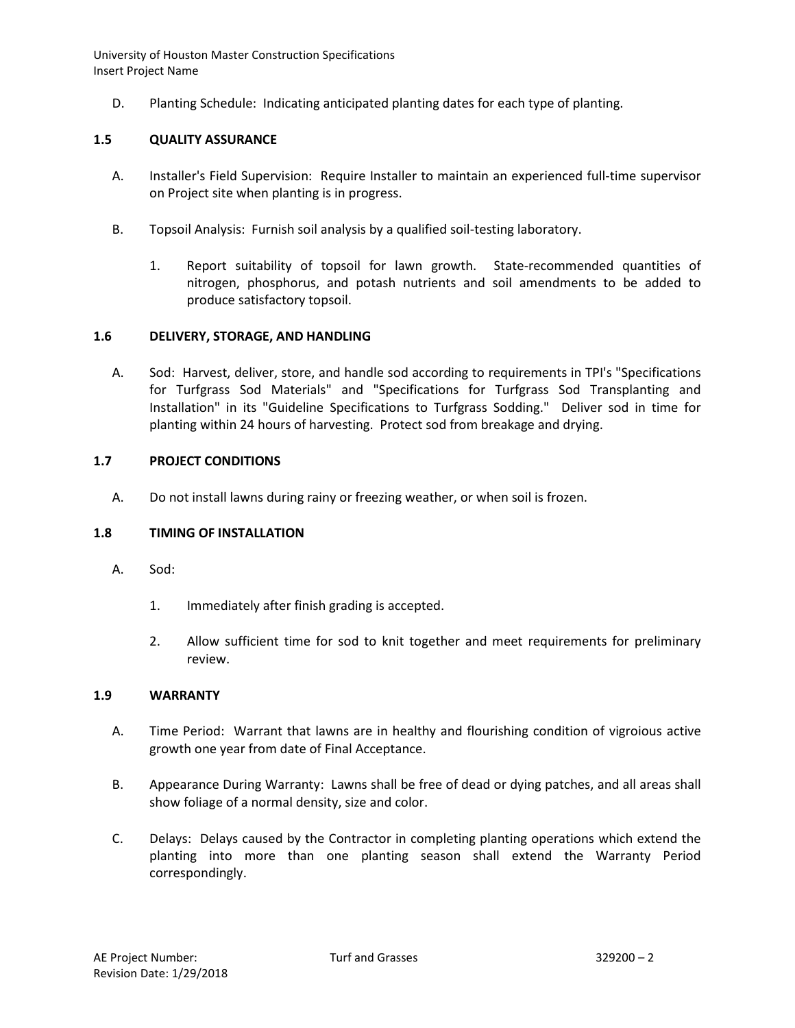D. Planting Schedule: Indicating anticipated planting dates for each type of planting.

## **1.5 QUALITY ASSURANCE**

- A. Installer's Field Supervision: Require Installer to maintain an experienced full-time supervisor on Project site when planting is in progress.
- B. Topsoil Analysis: Furnish soil analysis by a qualified soil-testing laboratory.
	- 1. Report suitability of topsoil for lawn growth. State-recommended quantities of nitrogen, phosphorus, and potash nutrients and soil amendments to be added to produce satisfactory topsoil.

## **1.6 DELIVERY, STORAGE, AND HANDLING**

A. Sod: Harvest, deliver, store, and handle sod according to requirements in TPI's "Specifications for Turfgrass Sod Materials" and "Specifications for Turfgrass Sod Transplanting and Installation" in its "Guideline Specifications to Turfgrass Sodding." Deliver sod in time for planting within 24 hours of harvesting. Protect sod from breakage and drying.

# **1.7 PROJECT CONDITIONS**

A. Do not install lawns during rainy or freezing weather, or when soil is frozen.

## **1.8 TIMING OF INSTALLATION**

- A. Sod:
	- 1. Immediately after finish grading is accepted.
	- 2. Allow sufficient time for sod to knit together and meet requirements for preliminary review.

## **1.9 WARRANTY**

- A. Time Period: Warrant that lawns are in healthy and flourishing condition of vigroious active growth one year from date of Final Acceptance.
- B. Appearance During Warranty: Lawns shall be free of dead or dying patches, and all areas shall show foliage of a normal density, size and color.
- C. Delays: Delays caused by the Contractor in completing planting operations which extend the planting into more than one planting season shall extend the Warranty Period correspondingly.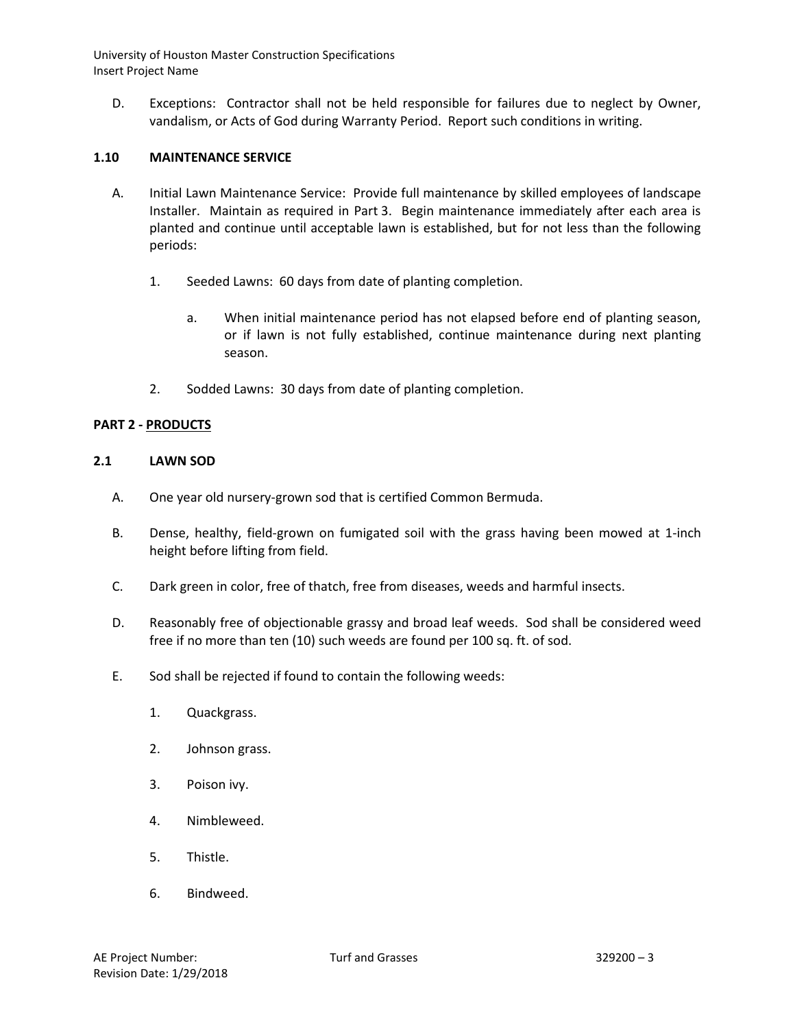D. Exceptions: Contractor shall not be held responsible for failures due to neglect by Owner, vandalism, or Acts of God during Warranty Period. Report such conditions in writing.

# **1.10 MAINTENANCE SERVICE**

- A. Initial Lawn Maintenance Service: Provide full maintenance by skilled employees of landscape Installer. Maintain as required in Part 3. Begin maintenance immediately after each area is planted and continue until acceptable lawn is established, but for not less than the following periods:
	- 1. Seeded Lawns: 60 days from date of planting completion.
		- a. When initial maintenance period has not elapsed before end of planting season, or if lawn is not fully established, continue maintenance during next planting season.
	- 2. Sodded Lawns: 30 days from date of planting completion.

### **PART 2 - PRODUCTS**

### **2.1 LAWN SOD**

- A. One year old nursery-grown sod that is certified Common Bermuda.
- B. Dense, healthy, field-grown on fumigated soil with the grass having been mowed at 1-inch height before lifting from field.
- C. Dark green in color, free of thatch, free from diseases, weeds and harmful insects.
- D. Reasonably free of objectionable grassy and broad leaf weeds. Sod shall be considered weed free if no more than ten (10) such weeds are found per 100 sq. ft. of sod.
- E. Sod shall be rejected if found to contain the following weeds:
	- 1. Quackgrass.
	- 2. Johnson grass.
	- 3. Poison ivy.
	- 4. Nimbleweed.
	- 5. Thistle.
	- 6. Bindweed.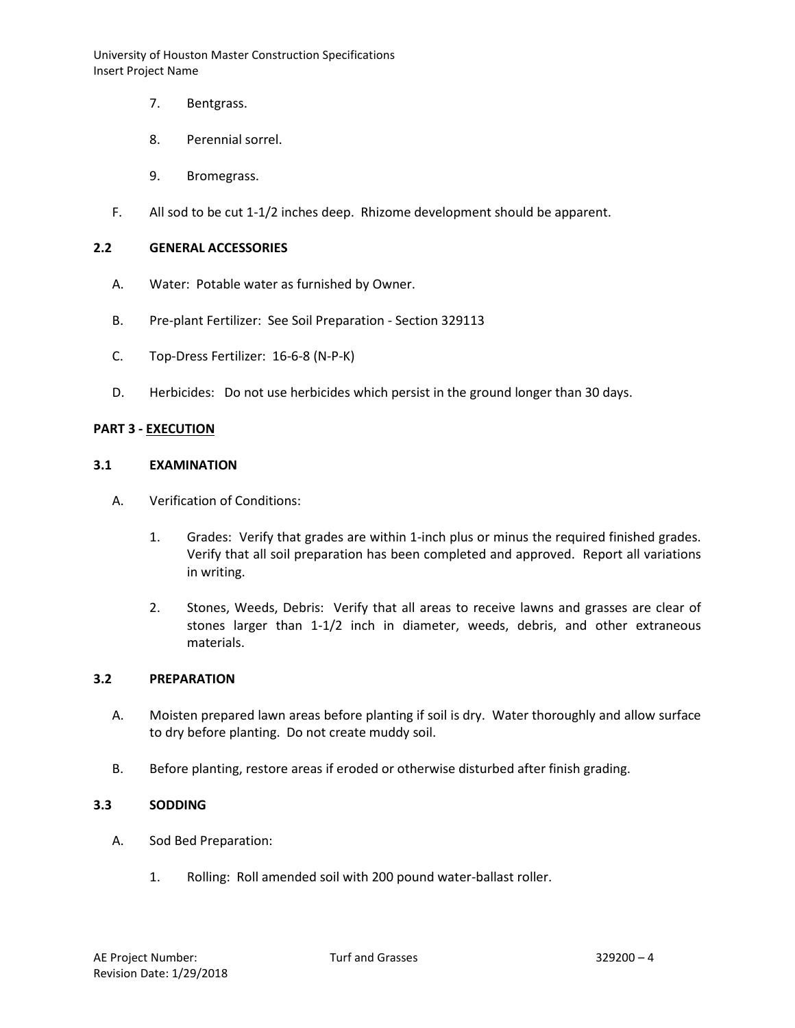- 7. Bentgrass.
- 8. Perennial sorrel.
- 9. Bromegrass.
- F. All sod to be cut 1-1/2 inches deep. Rhizome development should be apparent.

## **2.2 GENERAL ACCESSORIES**

- A. Water: Potable water as furnished by Owner.
- B. Pre-plant Fertilizer: See Soil Preparation Section 329113
- C. Top-Dress Fertilizer: 16-6-8 (N-P-K)
- D. Herbicides: Do not use herbicides which persist in the ground longer than 30 days.

### **PART 3 - EXECUTION**

### **3.1 EXAMINATION**

- A. Verification of Conditions:
	- 1. Grades: Verify that grades are within 1-inch plus or minus the required finished grades. Verify that all soil preparation has been completed and approved. Report all variations in writing.
	- 2. Stones, Weeds, Debris: Verify that all areas to receive lawns and grasses are clear of stones larger than 1-1/2 inch in diameter, weeds, debris, and other extraneous materials.

### **3.2 PREPARATION**

- A. Moisten prepared lawn areas before planting if soil is dry. Water thoroughly and allow surface to dry before planting. Do not create muddy soil.
- B. Before planting, restore areas if eroded or otherwise disturbed after finish grading.

#### **3.3 SODDING**

- A. Sod Bed Preparation:
	- 1. Rolling: Roll amended soil with 200 pound water-ballast roller.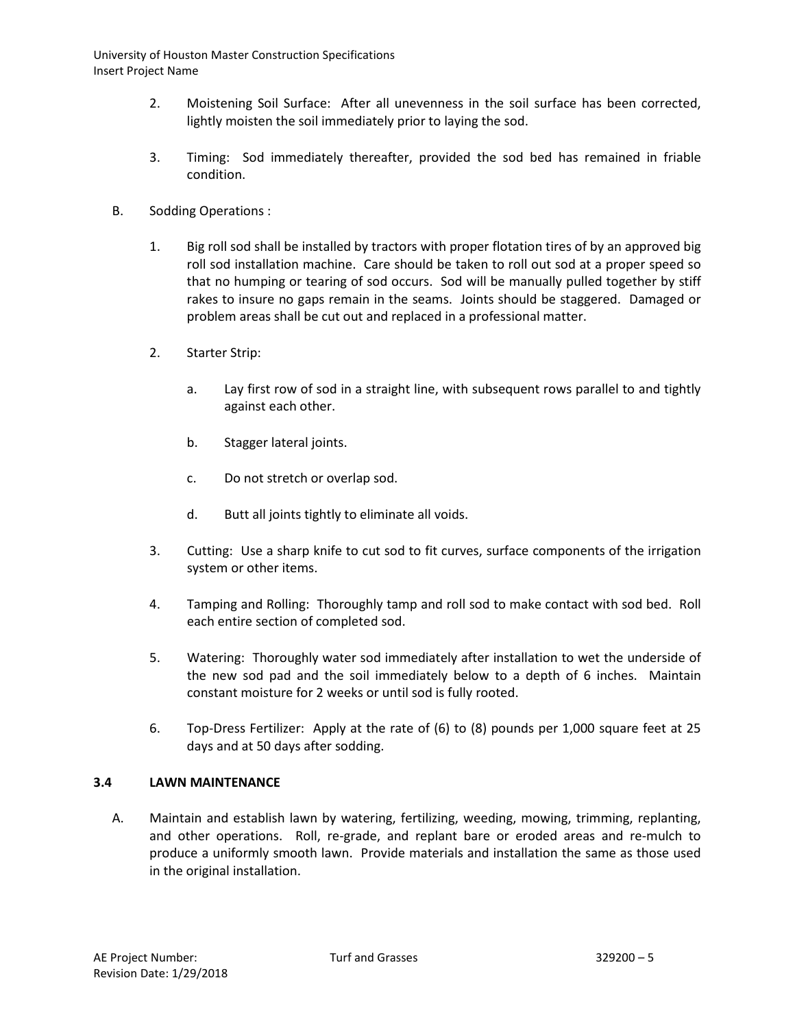- 2. Moistening Soil Surface: After all unevenness in the soil surface has been corrected, lightly moisten the soil immediately prior to laying the sod.
- 3. Timing: Sod immediately thereafter, provided the sod bed has remained in friable condition.
- B. Sodding Operations :
	- 1. Big roll sod shall be installed by tractors with proper flotation tires of by an approved big roll sod installation machine. Care should be taken to roll out sod at a proper speed so that no humping or tearing of sod occurs. Sod will be manually pulled together by stiff rakes to insure no gaps remain in the seams. Joints should be staggered. Damaged or problem areas shall be cut out and replaced in a professional matter.
	- 2. Starter Strip:
		- a. Lay first row of sod in a straight line, with subsequent rows parallel to and tightly against each other.
		- b. Stagger lateral joints.
		- c. Do not stretch or overlap sod.
		- d. Butt all joints tightly to eliminate all voids.
	- 3. Cutting: Use a sharp knife to cut sod to fit curves, surface components of the irrigation system or other items.
	- 4. Tamping and Rolling: Thoroughly tamp and roll sod to make contact with sod bed. Roll each entire section of completed sod.
	- 5. Watering: Thoroughly water sod immediately after installation to wet the underside of the new sod pad and the soil immediately below to a depth of 6 inches. Maintain constant moisture for 2 weeks or until sod is fully rooted.
	- 6. Top-Dress Fertilizer: Apply at the rate of (6) to (8) pounds per 1,000 square feet at 25 days and at 50 days after sodding.

## **3.4 LAWN MAINTENANCE**

A. Maintain and establish lawn by watering, fertilizing, weeding, mowing, trimming, replanting, and other operations. Roll, re-grade, and replant bare or eroded areas and re-mulch to produce a uniformly smooth lawn. Provide materials and installation the same as those used in the original installation.